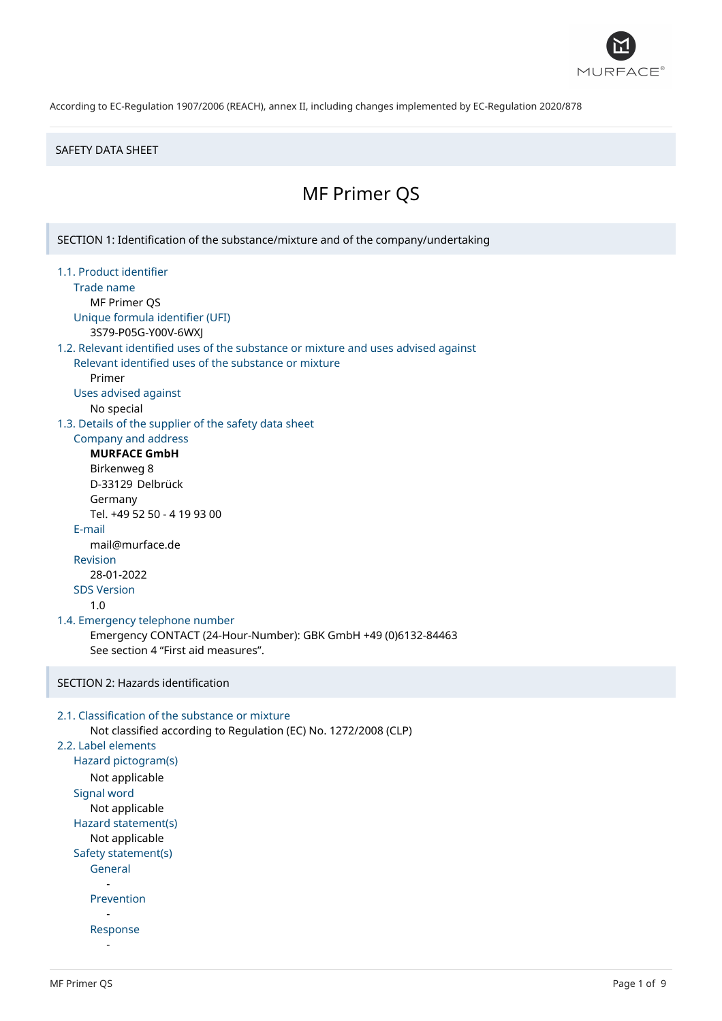

#### SAFETY DATA SHEET

# MF Primer QS

SECTION 1: Identification of the substance/mixture and of the company/undertaking 1.1. Product identifier Trade name MF Primer QS Unique formula identifier (UFI) 3S79-P05G-Y00V-6WXJ 1.2. Relevant identified uses of the substance or mixture and uses advised against Relevant identified uses of the substance or mixture Primer Uses advised against No special 1.3. Details of the supplier of the safety data sheet Company and address **MURFACE GmbH** Birkenweg 8 D-33129 Delbrück Germany Tel. +49 52 50 - 4 19 93 00 E-mail mail@murface.de Revision 28-01-2022 SDS Version 1.0 1.4. Emergency telephone number Emergency CONTACT (24-Hour-Number): GBK GmbH +49 (0)6132-84463 See section 4 "First aid measures". SECTION 2: Hazards identification 2.1. Classification of the substance or mixture Not classified according to Regulation (EC) No. 1272/2008 (CLP) 2.2. Label elements Hazard pictogram(s) Not applicable Signal word Not applicable Hazard statement(s) Not applicable Safety statement(s) General - Prevention - Response -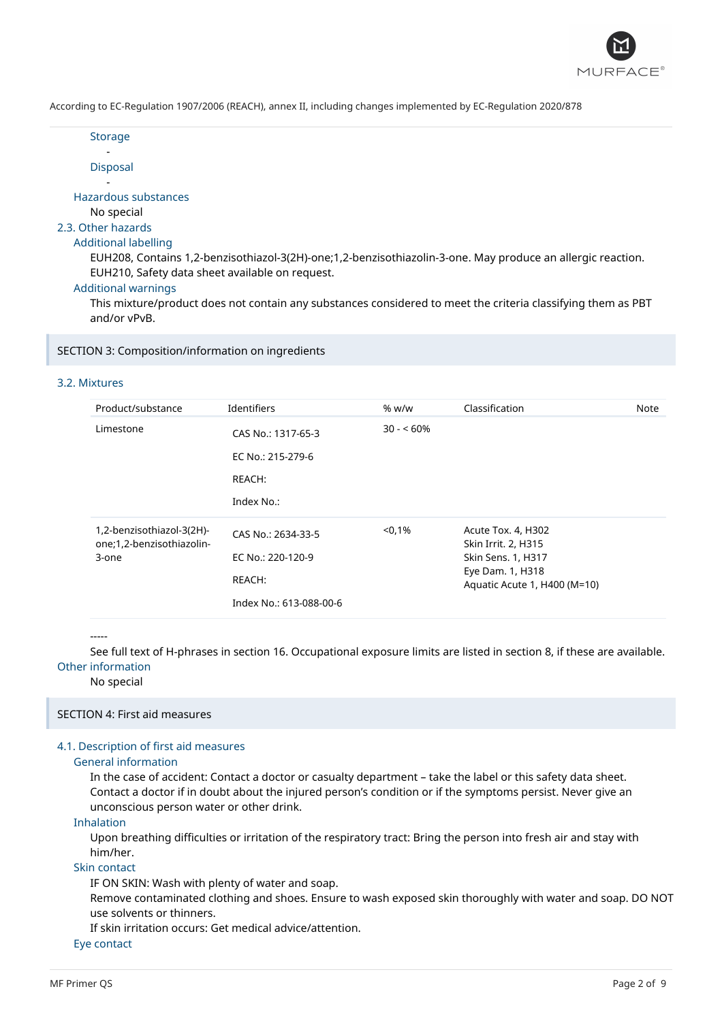

**Storage** -

Disposal

- Hazardous substances

No special

### 2.3. Other hazards

#### Additional labelling

EUH208, Contains 1,2-benzisothiazol-3(2H)-one;1,2-benzisothiazolin-3-one. May produce an allergic reaction. EUH210, Safety data sheet available on request.

#### Additional warnings

This mixture/product does not contain any substances considered to meet the criteria classifying them as PBT and/or vPvB.

SECTION 3: Composition/information on ingredients

#### 3.2. Mixtures

| Product/substance                                               | Identifiers                                                                  | % w/w      | Classification                                                                                                      | Note |
|-----------------------------------------------------------------|------------------------------------------------------------------------------|------------|---------------------------------------------------------------------------------------------------------------------|------|
| Limestone                                                       | CAS No.: 1317-65-3<br>EC No.: 215-279-6<br>REACH:<br>Index No.:              | $30 - 60%$ |                                                                                                                     |      |
| 1,2-benzisothiazol-3(2H)-<br>one;1,2-benzisothiazolin-<br>3-one | CAS No.: 2634-33-5<br>EC No.: 220-120-9<br>REACH:<br>Index No.: 613-088-00-6 | < 0.1%     | Acute Tox. 4, H302<br>Skin Irrit. 2, H315<br>Skin Sens. 1, H317<br>Eye Dam. 1, H318<br>Aquatic Acute 1, H400 (M=10) |      |

-----

See full text of H-phrases in section 16. Occupational exposure limits are listed in section 8, if these are available. Other information

No special

#### SECTION 4: First aid measures

### 4.1. Description of first aid measures

### General information

In the case of accident: Contact a doctor or casualty department – take the label or this safety data sheet. Contact a doctor if in doubt about the injured person's condition or if the symptoms persist. Never give an unconscious person water or other drink.

Inhalation

Upon breathing difficulties or irritation of the respiratory tract: Bring the person into fresh air and stay with him/her.

#### Skin contact

IF ON SKIN: Wash with plenty of water and soap.

Remove contaminated clothing and shoes. Ensure to wash exposed skin thoroughly with water and soap. DO NOT use solvents or thinners.

If skin irritation occurs: Get medical advice/attention.

Eye contact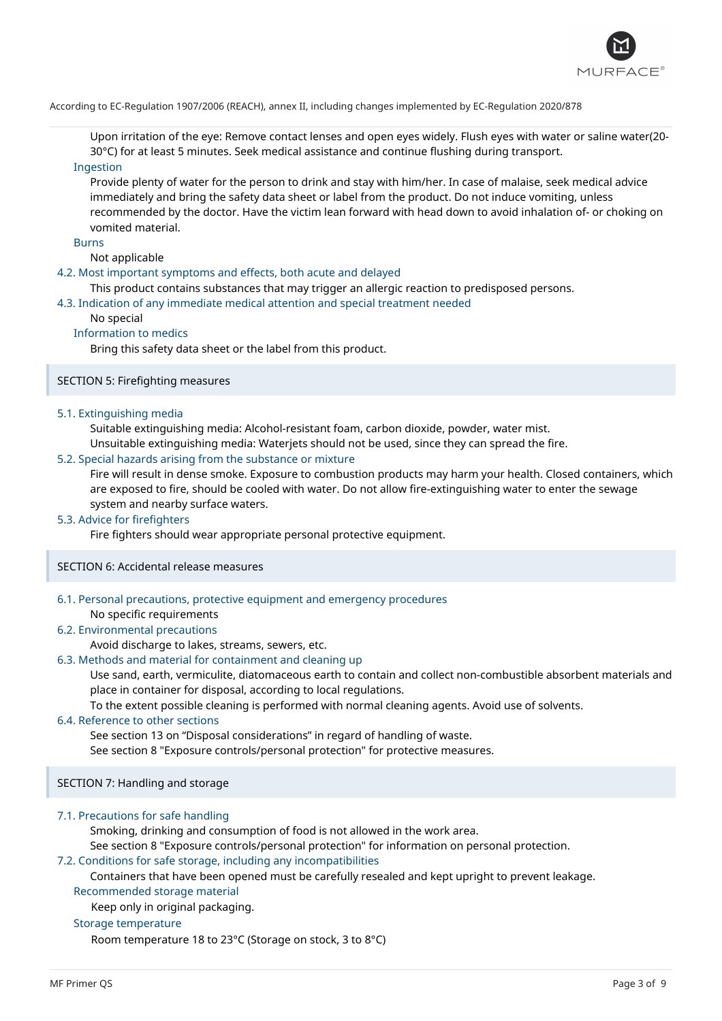

Upon irritation of the eye: Remove contact lenses and open eyes widely. Flush eyes with water or saline water(20- 30°C) for at least 5 minutes. Seek medical assistance and continue flushing during transport.

### Ingestion

Provide plenty of water for the person to drink and stay with him/her. In case of malaise, seek medical advice immediately and bring the safety data sheet or label from the product. Do not induce vomiting, unless recommended by the doctor. Have the victim lean forward with head down to avoid inhalation of- or choking on vomited material.

#### Burns

Not applicable

#### 4.2. Most important symptoms and effects, both acute and delayed

This product contains substances that may trigger an allergic reaction to predisposed persons.

#### 4.3. Indication of any immediate medical attention and special treatment needed

#### No special

#### Information to medics

Bring this safety data sheet or the label from this product.

### SECTION 5: Firefighting measures

#### 5.1. Extinguishing media

Suitable extinguishing media: Alcohol-resistant foam, carbon dioxide, powder, water mist.

Unsuitable extinguishing media: Waterjets should not be used, since they can spread the fire.

#### 5.2. Special hazards arising from the substance or mixture

Fire will result in dense smoke. Exposure to combustion products may harm your health. Closed containers, which are exposed to fire, should be cooled with water. Do not allow fire-extinguishing water to enter the sewage system and nearby surface waters.

#### 5.3. Advice for firefighters

Fire fighters should wear appropriate personal protective equipment.

#### SECTION 6: Accidental release measures

#### 6.1. Personal precautions, protective equipment and emergency procedures No specific requirements

#### 6.2. Environmental precautions

Avoid discharge to lakes, streams, sewers, etc.

#### 6.3. Methods and material for containment and cleaning up

Use sand, earth, vermiculite, diatomaceous earth to contain and collect non-combustible absorbent materials and place in container for disposal, according to local regulations.

To the extent possible cleaning is performed with normal cleaning agents. Avoid use of solvents.

#### 6.4. Reference to other sections

See section 13 on "Disposal considerations" in regard of handling of waste.

See section 8 "Exposure controls/personal protection" for protective measures.

SECTION 7: Handling and storage

#### 7.1. Precautions for safe handling

Smoking, drinking and consumption of food is not allowed in the work area.

See section 8 "Exposure controls/personal protection" for information on personal protection.

#### 7.2. Conditions for safe storage, including any incompatibilities

Containers that have been opened must be carefully resealed and kept upright to prevent leakage.

Recommended storage material

Keep only in original packaging.

### Storage temperature

Room temperature 18 to 23°C (Storage on stock, 3 to 8°C)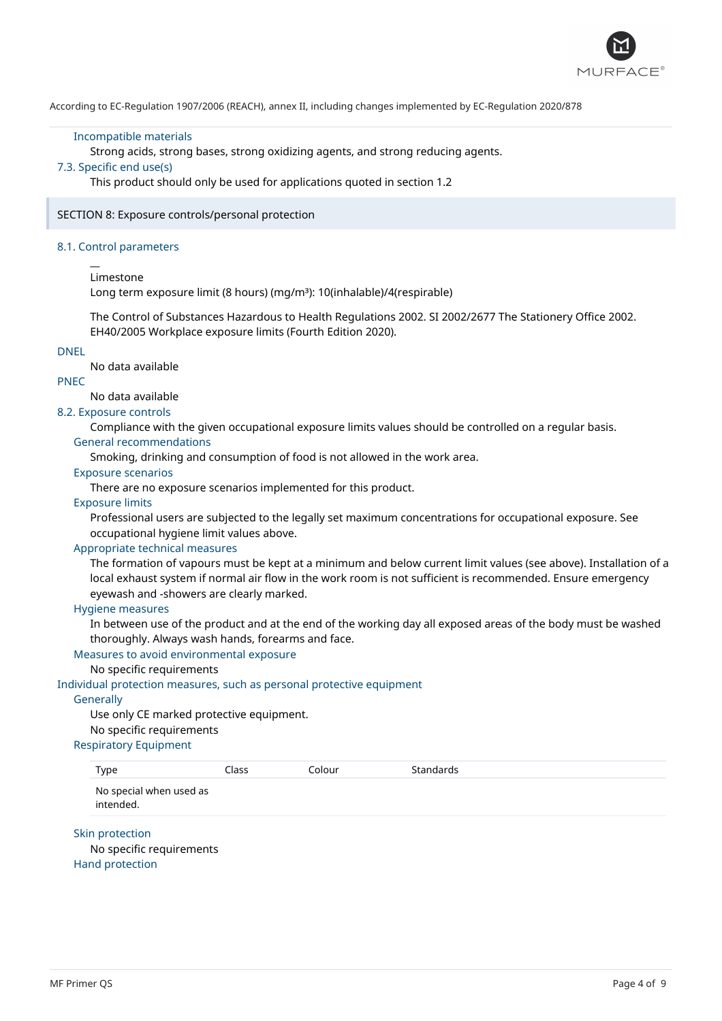

#### Incompatible materials

Strong acids, strong bases, strong oxidizing agents, and strong reducing agents.

### 7.3. Specific end use(s)

This product should only be used for applications quoted in section 1.2

SECTION 8: Exposure controls/personal protection

#### 8.1. Control parameters

#### Limestone

 $\overline{a}$ 

Long term exposure limit (8 hours) (mg/m<sup>3</sup>): 10(inhalable)/4(respirable)

The Control of Substances Hazardous to Health Regulations 2002. SI 2002/2677 The Stationery Office 2002. EH40/2005 Workplace exposure limits (Fourth Edition 2020).

#### DNEL

No data available

### PNEC

No data available

### 8.2. Exposure controls

Compliance with the given occupational exposure limits values should be controlled on a regular basis.

#### General recommendations

Smoking, drinking and consumption of food is not allowed in the work area.

#### Exposure scenarios

There are no exposure scenarios implemented for this product.

### Exposure limits

Professional users are subjected to the legally set maximum concentrations for occupational exposure. See occupational hygiene limit values above.

#### Appropriate technical measures

The formation of vapours must be kept at a minimum and below current limit values (see above). Installation of a local exhaust system if normal air flow in the work room is not sufficient is recommended. Ensure emergency eyewash and -showers are clearly marked.

#### Hygiene measures

In between use of the product and at the end of the working day all exposed areas of the body must be washed thoroughly. Always wash hands, forearms and face.

#### Measures to avoid environmental exposure

#### No specific requirements

#### Individual protection measures, such as personal protective equipment

#### **Generally**

Use only CE marked protective equipment. No specific requirements

#### Respiratory Equipment

| Type                                 | Class | Colour | Standards |
|--------------------------------------|-------|--------|-----------|
| No special when used as<br>intended. |       |        |           |

Skin protection No specific requirements Hand protection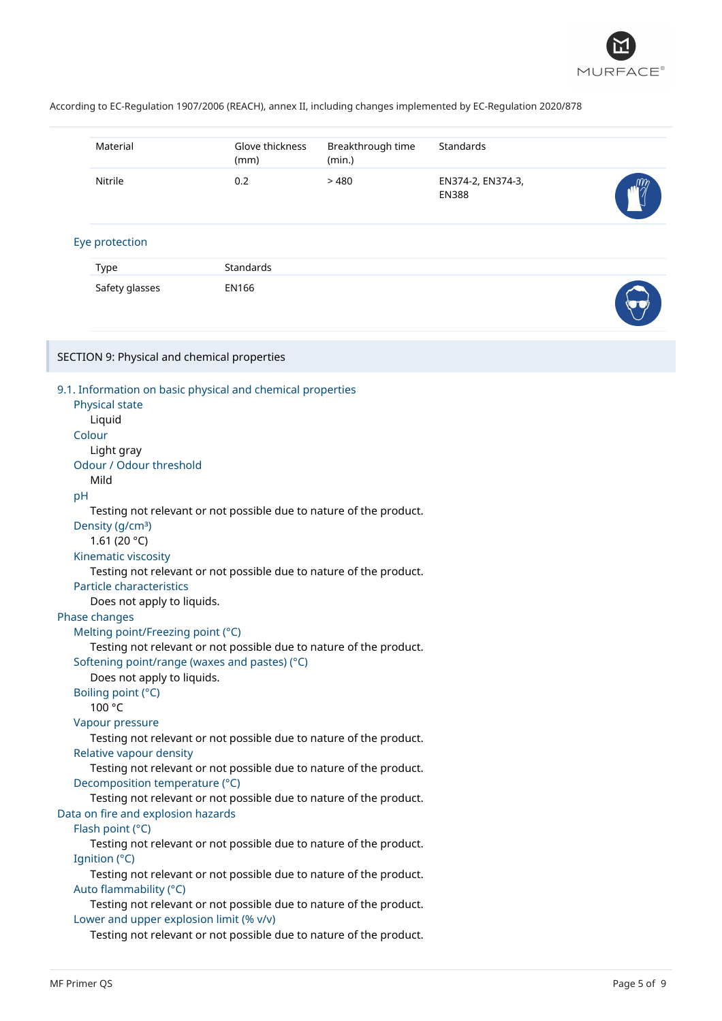

|    | Material                                    | Glove thickness<br>(mm)                                            | Breakthrough time<br>(min.) | Standards                         |  |
|----|---------------------------------------------|--------------------------------------------------------------------|-----------------------------|-----------------------------------|--|
|    | Nitrile                                     | 0.2                                                                | >480                        | EN374-2, EN374-3,<br><b>EN388</b> |  |
|    | Eye protection                              |                                                                    |                             |                                   |  |
|    | <b>Type</b>                                 | Standards                                                          |                             |                                   |  |
|    | Safety glasses                              | EN166                                                              |                             |                                   |  |
|    |                                             |                                                                    |                             |                                   |  |
|    | SECTION 9: Physical and chemical properties |                                                                    |                             |                                   |  |
|    |                                             |                                                                    |                             |                                   |  |
|    | Physical state                              | 9.1. Information on basic physical and chemical properties         |                             |                                   |  |
|    | Liquid                                      |                                                                    |                             |                                   |  |
|    | Colour                                      |                                                                    |                             |                                   |  |
|    | Light gray                                  |                                                                    |                             |                                   |  |
|    | Odour / Odour threshold                     |                                                                    |                             |                                   |  |
|    | Mild                                        |                                                                    |                             |                                   |  |
| pH |                                             |                                                                    |                             |                                   |  |
|    |                                             | Testing not relevant or not possible due to nature of the product. |                             |                                   |  |
|    | Density (g/cm <sup>3</sup> )                |                                                                    |                             |                                   |  |
|    | 1.61 (20 $^{\circ}$ C)                      |                                                                    |                             |                                   |  |
|    | Kinematic viscosity                         |                                                                    |                             |                                   |  |
|    |                                             | Testing not relevant or not possible due to nature of the product. |                             |                                   |  |
|    | Particle characteristics                    |                                                                    |                             |                                   |  |
|    | Does not apply to liquids.<br>Phase changes |                                                                    |                             |                                   |  |
|    | Melting point/Freezing point (°C)           |                                                                    |                             |                                   |  |
|    |                                             | Testing not relevant or not possible due to nature of the product. |                             |                                   |  |
|    |                                             | Softening point/range (waxes and pastes) (°C)                      |                             |                                   |  |
|    | Does not apply to liquids.                  |                                                                    |                             |                                   |  |
|    | Boiling point (°C)                          |                                                                    |                             |                                   |  |
|    | 100 °C                                      |                                                                    |                             |                                   |  |
|    | Vapour pressure                             |                                                                    |                             |                                   |  |
|    |                                             | Testing not relevant or not possible due to nature of the product. |                             |                                   |  |
|    | Relative vapour density                     |                                                                    |                             |                                   |  |
|    |                                             | Testing not relevant or not possible due to nature of the product. |                             |                                   |  |
|    | Decomposition temperature (°C)              |                                                                    |                             |                                   |  |
|    |                                             | Testing not relevant or not possible due to nature of the product. |                             |                                   |  |
|    | Data on fire and explosion hazards          |                                                                    |                             |                                   |  |
|    | Flash point (°C)                            | Testing not relevant or not possible due to nature of the product. |                             |                                   |  |
|    | Ignition (°C)                               |                                                                    |                             |                                   |  |
|    |                                             | Testing not relevant or not possible due to nature of the product. |                             |                                   |  |
|    | Auto flammability (°C)                      |                                                                    |                             |                                   |  |
|    |                                             | Testing not relevant or not possible due to nature of the product. |                             |                                   |  |
|    | Lower and upper explosion limit (% v/v)     |                                                                    |                             |                                   |  |
|    |                                             | Testing not relevant or not possible due to nature of the product. |                             |                                   |  |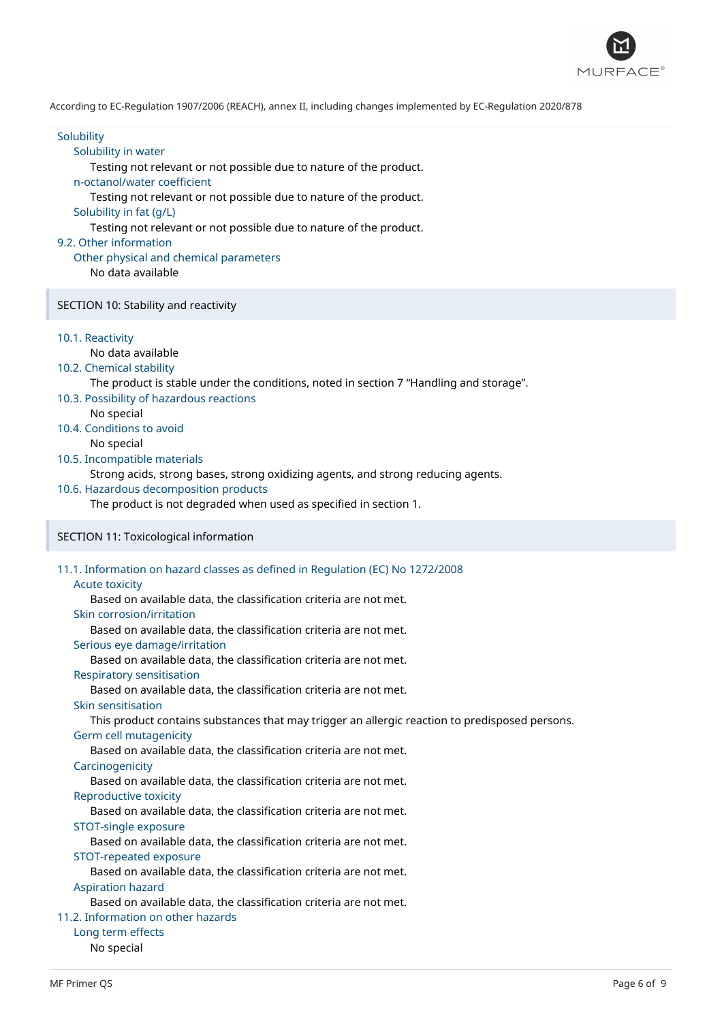

**Solubility** 

### Solubility in water

Testing not relevant or not possible due to nature of the product.

#### n-octanol/water coefficient

Testing not relevant or not possible due to nature of the product.

#### Solubility in fat (g/L)

Testing not relevant or not possible due to nature of the product.

#### 9.2. Other information

#### Other physical and chemical parameters

No data available

#### SECTION 10: Stability and reactivity

10.1. Reactivity

# No data available

10.2. Chemical stability

The product is stable under the conditions, noted in section 7 "Handling and storage".

- 10.3. Possibility of hazardous reactions
	- No special
- 10.4. Conditions to avoid

No special

### 10.5. Incompatible materials

Strong acids, strong bases, strong oxidizing agents, and strong reducing agents.

10.6. Hazardous decomposition products

The product is not degraded when used as specified in section 1.

#### SECTION 11: Toxicological information

### 11.1. Information on hazard classes as defined in Regulation (EC) No 1272/2008

#### Acute toxicity

Based on available data, the classification criteria are not met.

#### Skin corrosion/irritation

Based on available data, the classification criteria are not met.

#### Serious eye damage/irritation

Based on available data, the classification criteria are not met.

Respiratory sensitisation

Based on available data, the classification criteria are not met.

Skin sensitisation

This product contains substances that may trigger an allergic reaction to predisposed persons.

#### Germ cell mutagenicity

Based on available data, the classification criteria are not met.

#### Carcinogenicity

Based on available data, the classification criteria are not met.

# Reproductive toxicity

Based on available data, the classification criteria are not met.

### STOT-single exposure

Based on available data, the classification criteria are not met.

#### STOT-repeated exposure

Based on available data, the classification criteria are not met. Aspiration hazard

Based on available data, the classification criteria are not met.

### 11.2. Information on other hazards

Long term effects

### No special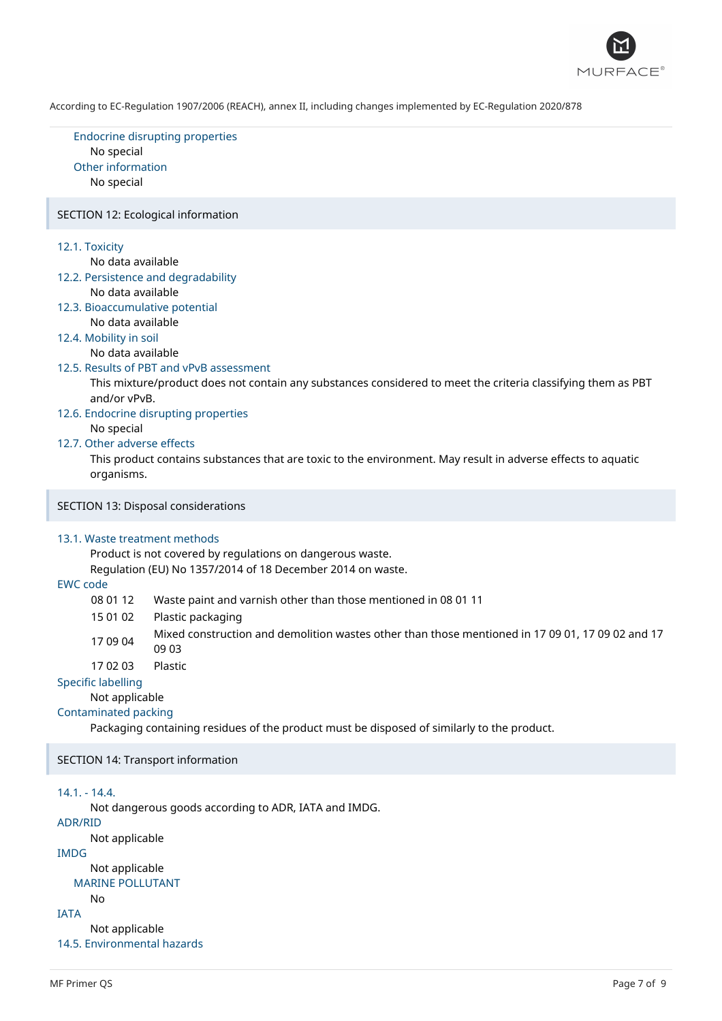

Endocrine disrupting properties No special Other information No special

#### SECTION 12: Ecological information

#### 12.1. Toxicity

No data available

- 12.2. Persistence and degradability
	- No data available
- 12.3. Bioaccumulative potential No data available
- 12.4. Mobility in soil

No data available

#### 12.5. Results of PBT and vPvB assessment

This mixture/product does not contain any substances considered to meet the criteria classifying them as PBT and/or vPvB.

- 12.6. Endocrine disrupting properties No special
- 12.7. Other adverse effects

This product contains substances that are toxic to the environment. May result in adverse effects to aquatic organisms.

SECTION 13: Disposal considerations

#### 13.1. Waste treatment methods

Product is not covered by regulations on dangerous waste.

Regulation (EU) No 1357/2014 of 18 December 2014 on waste.

### EWC code

08 01 12 Waste paint and varnish other than those mentioned in 08 01 11

15 01 02 Plastic packaging

- 17 09 04 Mixed construction and demolition wastes other than those mentioned in 17 09 01, 17 09 02 and 17 09 03
- 17 02 03 Plastic

### Specific labelling

Not applicable

# Contaminated packing

Packaging containing residues of the product must be disposed of similarly to the product.

SECTION 14: Transport information

### 14.1. - 14.4.

Not dangerous goods according to ADR, IATA and IMDG.

### ADR/RID

Not applicable

### IMDG

Not applicable MARINE POLLUTANT

#### No

IATA

Not applicable 14.5. Environmental hazards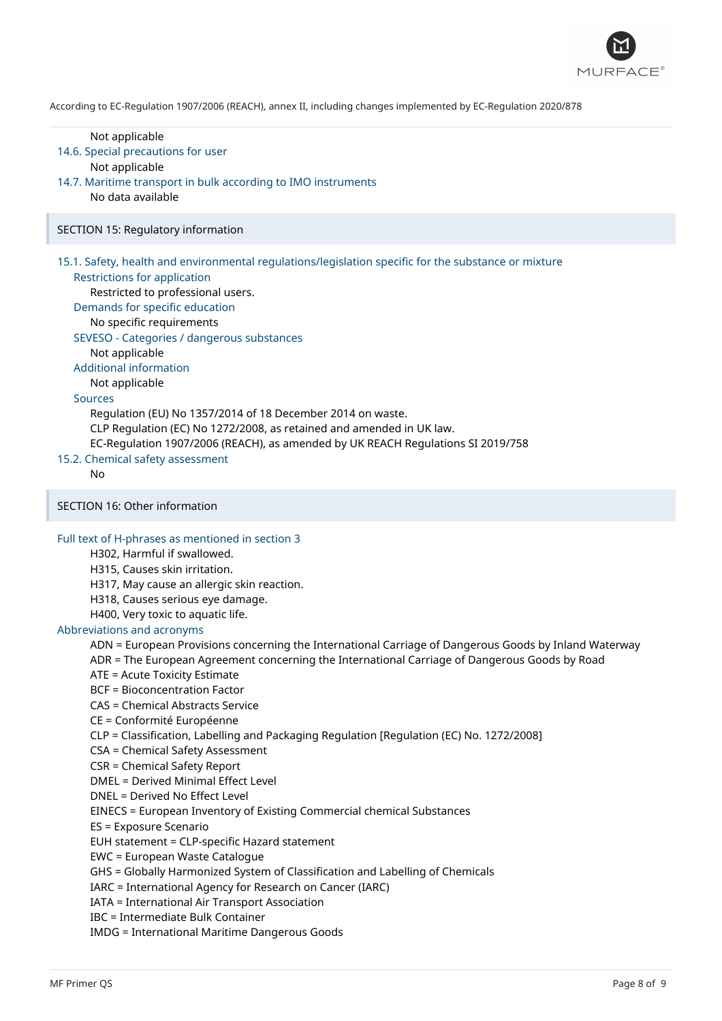

Not applicable 14.6. Special precautions for user Not applicable 14.7. Maritime transport in bulk according to IMO instruments No data available SECTION 15: Regulatory information 15.1. Safety, health and environmental regulations/legislation specific for the substance or mixture Restrictions for application Restricted to professional users. Demands for specific education No specific requirements SEVESO - Categories / dangerous substances Not applicable Additional information Not applicable Sources Regulation (EU) No 1357/2014 of 18 December 2014 on waste. CLP Regulation (EC) No 1272/2008, as retained and amended in UK law. EC-Regulation 1907/2006 (REACH), as amended by UK REACH Regulations SI 2019/758 15.2. Chemical safety assessment No SECTION 16: Other information Full text of H-phrases as mentioned in section 3 H302, Harmful if swallowed. H315, Causes skin irritation. H317, May cause an allergic skin reaction. H318, Causes serious eye damage. H400, Very toxic to aquatic life. Abbreviations and acronyms ADN = European Provisions concerning the International Carriage of Dangerous Goods by Inland Waterway ADR = The European Agreement concerning the International Carriage of Dangerous Goods by Road ATE = Acute Toxicity Estimate BCF = Bioconcentration Factor CAS = Chemical Abstracts Service CE = Conformité Européenne CLP = Classification, Labelling and Packaging Regulation [Regulation (EC) No. 1272/2008] CSA = Chemical Safety Assessment CSR = Chemical Safety Report DMEL = Derived Minimal Effect Level DNEL = Derived No Effect Level EINECS = European Inventory of Existing Commercial chemical Substances ES = Exposure Scenario EUH statement = CLP-specific Hazard statement EWC = European Waste Catalogue GHS = Globally Harmonized System of Classification and Labelling of Chemicals IARC = International Agency for Research on Cancer (IARC) IATA = International Air Transport Association IBC = Intermediate Bulk Container IMDG = International Maritime Dangerous Goods